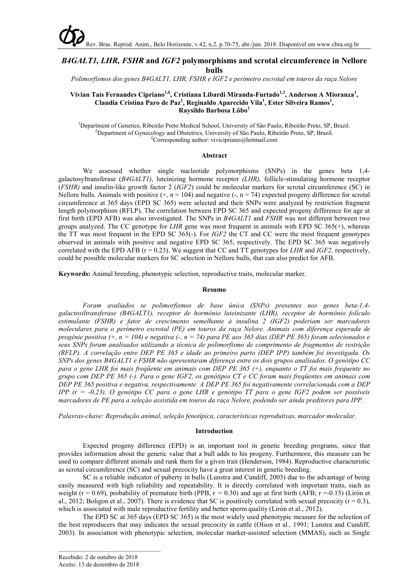# *B4GALT1, LHR, FSHR* **and** *IGF2* **polymorphisms and scrotal circumference in Nellore bulls**

*Polimorfismos dos genes B4GALT1, LHR, FSHR e IGF2 e perímetro escrotal em touros da raça Nelore*

## **Vivian Taís Fernandes Cipriano1,£ , Cristiana Libardi Miranda-Furtado1,2, Anderson A Mioranza<sup>1</sup> , Claudia Cristina Paro de Paz<sup>1</sup> , Reginaldo Aparecido Vila<sup>1</sup> , Ester Silveira Ramos1 , Raysildo Barbosa Lôbo<sup>1</sup>**

<sup>1</sup>Department of Genetics, Ribeirão Preto Medical School, University of São Paulo, Ribeirão Preto, SP, Brazil.<br><sup>2</sup>Department of Gynecology and Obstetrics, University of São Paulo, Ribeirão Preto, SP, Brazil. <sup>2</sup>Department of Gynecology and Obstetrics, University of São Paulo, Ribeirão Preto, SP, Brazil. <sup>£</sup>Corresponding author: vivicipriano@hotmail.com

#### **Abstract**

We assessed whether single nucleotide polymorphisms (SNPs) in the genes beta 1,4 galactosyltransferase (*B4GALT1)*, luteinizing hormone receptor *(LHR),* follicle-stimulating hormone receptor (*FSHR)* and insulin-like growth factor 2 (*IGF2*) could be molecular markers for scrotal circumference (SC) in Nellore bulls. Animals with positive  $(+, n = 104)$  and negative  $(-, n = 74)$  expected progeny difference for scrotal circumference at 365 days (EPD SC 365) were selected and their SNPs were analyzed by restriction fragment length polymorphism (RFLP). The correlation between EPD SC 365 and expected progeny difference for age at first birth (EPD AFB) was also investigated. The SNPs in *B4GALT1* and *FSHR* was not different between two groups analyzed. The CC genotype for *LHR* gene was most frequent in animals with EPD SC 365(+), whereas the TT was most frequent in the EPD SC 365(-). For *IGF2* the CT and CC were the most frequent genotypes observed in animals with positive and negative EPD SC 365, respectively. The EPD SC 365 was negatively correlated with the EPD AFB (r = 0.23). We suggest that CC and TT genotypes for *LHR* and *IGF2,* respectively, could be possible molecular markers for SC selection in Nellore bulls, that can also predict for AFB.

**Keywords:** Animal breeding, phenotypic selection, reproductive traits, molecular marker.

#### **Resumo**

*Foram avaliados se polimorfismos de base única (SNPs) presentes nos genes beta-1,4 galactosiltransferase (B4GALT1), receptor de hormônio luteinizante (LHR), receptor de hormônio folículo estimulante (FSHR) e fator de crescimento semelhante à insulina 2 (IGF2) poderiam ser marcadores moleculares para o perímetro escrotal (PE) em touros da raça Nelore. Animais com diferença esperada de* progênie positiva (+, n = 104) e negativa (-, n = 74) para PE aos 365 dias (DEP PE 365) foram selecionados e *seus SNPs foram analisados utilizando a técnica de polimorfismo de comprimento de fragmentos de restrição* (RFLP). A correlação entre DEP PE 365 e idade ao primeiro parto (DEP IPP) também foi investigada. Os *SNPs dos genes B4GALT1 e FSHR não apresentaram diferença entre os dois grupos analisados. O genótipo CC* para o gene LHR foi mais frequente em animais com DEP PE 365 (+), enquanto o TT foi mais frequente no grupo com DEP PE 365 (-). Para o gene IGF2, os genótipos CT e CC foram mais freqüentes em animais com *DEP PE 365 positiva e negativa, respectivamente. A DEP PE 365 foi negativamente correlacionada com a DEP* IPP  $(r = -0.23)$ . O genótipo CC para o gene LHR e genótipo TT para o gene IGF2 podem ser possíveis marcadores de PE para a seleção assistida em touros da raça Nelore, podendo ser ainda preditores para IPP.

*Palavras-chave: Reprodução animal, seleção fenotípica, características reprodutivas, marcador molecular.*

#### **Introduction**

Expected progeny difference (EPD) is an important tool in genetic breeding programs, since that provides information about the genetic value that a bull adds to his progeny. Furthermore, this measure can be used to compare different animals and rank them for a given trait (Henderson, 1984). Reproductive characteristic as scrotal circumference (SC) and sexual precocity have a great interest in genetic breeding.

SC is a reliable indicator of puberty in bulls (Lunstra and Cundiff, 2003) due to the advantage of being easily measured with high reliability and repeatability. It is directly correlated with important traits, such as weight ( $r = 0.69$ ), probability of premature birth (PPB,  $r = 0.30$ ) and age at first birth (AFB;  $r = -0.15$ ) (Lirón et al., 2012; Boligon et al., 2007). There is evidence that SC is positively correlated with sexual precocity  $(r = 0.3)$ , which is associated with male reproductive fertility and better sperm quality (Lirón et al., *2*012).

The EPD SC at 365 days (EPD SC 365) is the most widely used phenotypic measure for the selection of the best reproducers that may indicates the sexual precocity in cattle (Olson et al*.,* 1991; Lunstra and Cundiff, 2003). In association with phenotypic selection, molecular marker-assisted selection (MMAS), such as Single

\_\_\_\_\_\_\_\_\_\_\_\_\_\_\_\_\_\_\_\_\_\_\_\_\_\_\_\_\_\_\_\_\_

Recebido: 2 de outubro de 2018 Aceito: 13 de dezembro de 2018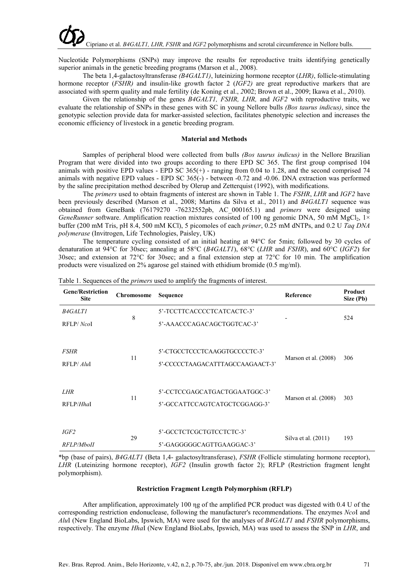Nucleotide Polymorphisms (SNPs) may improve the results for reproductive traits identifying genetically superior animals in the genetic breeding programs (Marson et al., *2*008).

The beta 1,4-galactosyltransferase *(B4GALT1)*, luteinizing hormone receptor (*LHR)*, follicle-stimulating hormone receptor (*FSHR)* and insulin-like growth factor 2 (*IGF2)* are great reproductive markers that are associated with sperm quality and male fertility (de Koning et al., *2*002; Brown et al., 2009; Ikawa et al., *2*010).

Given the relationship of the genes *B4GALT1, FSHR, LHR,* and *IGF2* with reproductive traits, we evaluate the relationship of SNPs in these genes with SC in young Nellore bulls *(Bos taurus indicus)*, since the genotypic selection provide data for marker-assisted selection, facilitates phenotypic selection and increases the economic efficiency of livestock in a genetic breeding program.

## **Material and Methods**

Samples of peripheral blood were collected from bulls *(Bos taurus indicus)* in the Nellore Brazilian Program that were divided into two groups according to there EPD SC 365. The first group comprised 104 animals with positive EPD values - EPD SC  $365(+)$  - ranging from 0.04 to 1.28, and the second comprised 74 animals with negative EPD values - EPD SC 365(-) - between -0.72 and -0.06. DNA extraction was performed by the saline precipitation method described by Olerup and Zetterquist (1992), with modifications.

The *primers* used to obtain fragments of interest are shown in Table 1. The *FSHR*, *LHR* and *IGF2* have been previously described (Marson et al., 2008; Martins da Silva et al., 2011) and *B4GALT1* sequence was obtained from GeneBank (76179270 -76232552pb, AC\_000165.1) and *primers* were designed using *GeneRunner* software. Amplification reaction mixtures consisted of 100 ng genomic DNA, 50 mM MgCl<sub>2</sub>, 1× buffer (200 mM Tris, pH 8.4, 500 mM KCl), 5 picomoles of each *primer*, 0.25 mM dNTPs, and 0.2 U *Taq DNA polymerase* (Invitrogen, Life Technologies, Paisley, UK)

The temperature cycling consisted of an initial heating at 94°C for 5min; followed by 30 cycles of denaturation at 94°C for 30sec; annealing at 58°C (*B4GALT1*), 68°C (*LHR* and *FSHR*), and 60°C (*IGF2*) for 30sec; and extension at 72°C for 30sec; and a final extension step at 72°C for 10 min. The amplification products were visualized on 2% agarose gel stained with ethidium bromide (0.5 mg/ml).

| <b>Gene/Restriction</b><br><b>Site</b> | Chromosome | <b>Sequence</b>                                                   | Reference             | Product<br>Size (Pb) |
|----------------------------------------|------------|-------------------------------------------------------------------|-----------------------|----------------------|
| <b>B4GALT1</b><br>RFLP/NcoI            | 8          | 5'-TCCTTCACCCCTCATCACTC-3'<br>5'-AAACCCAGACAGCTGGTCAC-3'          |                       | 524                  |
| <i>FSHR</i><br>RFLP/ AluI              | 11         | 5'-CTGCCTCCCTCAAGGTGCCCCTC-3'<br>5'-CCCCCTAAGACATTTAGCCAAGAACT-3' | Marson et al. (2008)  | 306                  |
| <i>LHR</i><br>RFLP/Hhal                | 11         | 5'-CCTCCGAGCATGACTGGAATGGC-3'<br>5'-GCCATTCCAGTCATGCTCGGAGG-3'    | Marson et al. (2008)  | 303                  |
| IGF2<br>RFLP/MboII                     | 29         | 5'-GCCTCTCGCTGTCCTCTC-3'<br>5'-GAGGGGGCAGTTGAAGGAC-3'             | Silva et al. $(2011)$ | 193                  |

Table 1. Sequences of the *primers* used to amplify the fragments of interest.

\*bp (base of pairs), *B4GALT1* (Beta 1,4- galactosyltransferase), *FSHR* (Follicle stimulating hormone receptor), *LHR* (Luteinizing hormone receptor), *IGF2* (Insulin growth factor 2); RFLP (Restriction fragment lenght polymorphism).

#### **Restriction Fragment Length Polymorphism (RFLP)**

After amplification, approximately 100 ηg of the amplified PCR product was digested with 0.4 U of the corresponding restriction endonuclease, following the manufacturer's recommendations. The enzymes *Nco*I and *Alu*I (New England BioLabs, Ipswich, MA) were used for the analyses of *B4GALT1* and *FSHR* polymorphisms, respectively. The enzyme *Hha*I (New England BioLabs, Ipswich, MA) was used to assess the SNP in *LHR*, and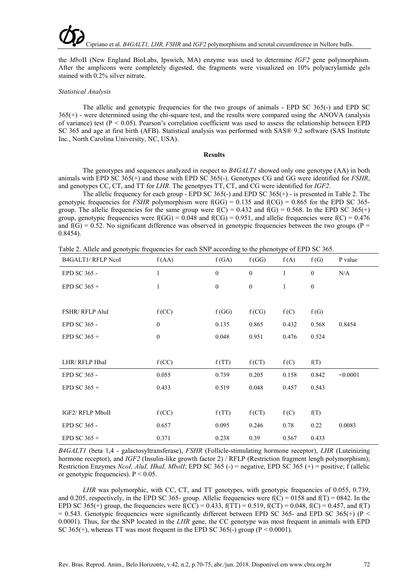the *Mbo*II (New England BioLabs, Ipswich, MA) enzyme was used to determine *IGF2* gene polymorphism. After the amplicons were completely digested, the fragments were visualized on 10% polyacrylamide gels stained with 0.2% silver nitrate.

#### *Statistical Analysis*

The allelic and genotypic frequencies for the two groups of animals - EPD SC 365(-) and EPD SC 365(+) - were determined using the chi-square test, and the results were compared using the ANOVA (analysis of variance) test ( $P < 0.05$ ). Pearson's correlation coefficient was used to assess the relationship between EPD SC 365 and age at first birth (AFB). Statistical analysis was performed with SAS® 9.2 software (SAS Institute Inc., North Carolina University, NC, USA).

## **Results**

The genotypes and sequences analyzed in respect to *B4GALT1* showed only one genotype (AA) in both animals with EPD SC 365(+) and those with EPD SC 365(-). Genotypes CG and GG were identified for *FSHR*, and genotypes CC, CT, and TT for *LHR*. The genotpyes TT, CT, and CG were identified for *IGF2*.

The allelic frequency for each group - EPD SC 365(-) and EPD SC 365(+) - is presented in Table 2. The genotypic frequencies for *FSHR* polymorphism were  $f(GG) = 0.135$  and  $f(CG) = 0.865$  for the EPD SC 365group. The allelic frequencies for the same group were  $f(C) = 0.432$  and  $f(G) = 0.568$ . In the EPD SC 365(+) group, genotypic frequencies were  $f(GG) = 0.048$  and  $f(CG) = 0.951$ , and allelic frequencies were  $f(C) = 0.476$ and  $f(G) = 0.52$ . No significant difference was observed in genotypic frequencies between the two groups (P = 0.8454).

Table 2. Allele and genotypic frequencies for each SNP according to the phenotype of EPD SC 365.

| <b>B4GALT1/ RFLP NcoI</b> | f(AA)            | f(GA)            | f(GG)        | f(A)         | f(G)         | P value  |
|---------------------------|------------------|------------------|--------------|--------------|--------------|----------|
| EPD SC 365 -              | $\mathbf{1}$     | $\mathbf{0}$     | $\mathbf{0}$ | $\mathbf{1}$ | $\mathbf{0}$ | N/A      |
| EPD SC $365 +$            | 1                | $\boldsymbol{0}$ | $\mathbf{0}$ | $\mathbf{1}$ | $\mathbf{0}$ |          |
|                           |                  |                  |              |              |              |          |
| FSHR/RFLP AluI            | f(CC)            | f(GG)            | f(CG)        | f(C)         | f(G)         |          |
| EPD SC 365 -              | $\boldsymbol{0}$ | 0.135            | 0.865        | 0.432        | 0.568        | 0.8454   |
| EPD SC $365 +$            | $\boldsymbol{0}$ | 0.048            | 0.951        | 0.476        | 0.524        |          |
|                           |                  |                  |              |              |              |          |
| LHR/RFLP HhaI             | f(CC)            | f(TT)            | f (CT)       | f(C)         | f(T)         |          |
| EPD SC 365 -              | 0.055            | 0.739            | 0.205        | 0.158        | 0.842        | < 0.0001 |
| EPD SC $365 +$            | 0.433            | 0.519            | 0.048        | 0.457        | 0.543        |          |
|                           |                  |                  |              |              |              |          |
| IGF2/ RFLP MboII          | f(CC)            | f(TT)            | f (CT)       | f(C)         | f(T)         |          |
| EPD SC 365 -              | 0.657            | 0.095            | 0.246        | 0.78         | 0.22         | 0.0083   |
| EPD SC $365 +$            | 0.371            | 0.238            | 0.39         | 0.567        | 0.433        |          |

*B4GALT1* (beta 1,4 - galactosyltransferase), *FSHR* (Follicle-stimulating hormone receptor), *LHR* (Luteinizing hormone receptor), and *IGF2* (Insulin-like growth factor 2) / RFLP (Restriction fragment lengh polymorphism); Restriction Enzymes *NcoI, AluI, HhaI, MbolI*; EPD SC 365 (-) = negative, EPD SC 365 (+) = positive; f (allelic or genotypic frequencies).  $P < 0.05$ .

*LHR* was polymorphic, with CC, CT, and TT genotypes, with genotypic frequencies of 0.055, 0.739, and 0.205, respectively, in the EPD SC 365- group. Allelic frequencies were  $f(C) = 0158$  and  $f(T) = 0842$ . In the EPD SC 365(+) group, the frequencies were f(CC) = 0.433, f(TT) = 0.519, f(CT) = 0.048, f(C) = 0.457, and f(T)  $= 0.543$ . Genotypic frequencies were significantly different between EPD SC 365- and EPD SC 365(+) (P < 0.0001). Thus, for the SNP located in the *LHR* gene, the CC genotype was most frequent in animals with EPD SC 365(+), whereas TT was most frequent in the EPD SC 365(-) group ( $P < 0.0001$ ).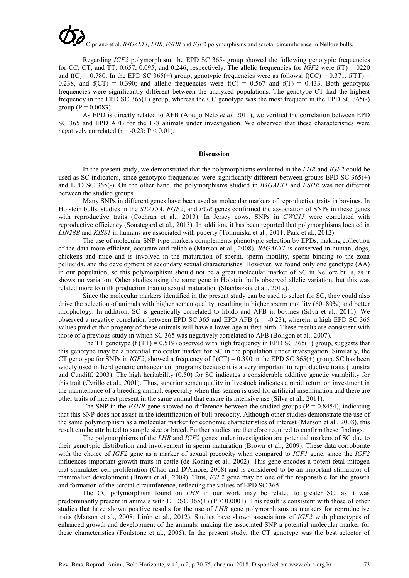Regarding *IGF2* polymorphism, the EPD SC 365- group showed the following genotypic frequencies for CC, CT, and TT: 0.657, 0.095, and 0.246, respectively. The allelic frequencies for *IGF2* were  $f(T) = 0220$ and  $f(C) = 0.780$ . In the EPD SC 365(+) group, genotypic frequencies were as follows:  $f(CC) = 0.371$ ,  $f(TT) =$ 0.238, and  $f(CT) = 0.390$ ; and allelic frequencies were  $f(C) = 0.567$  and  $f(T) = 0.433$ . Both genotypic frequencies were significantly different between the analyzed populations. The genotype CT had the highest frequency in the EPD SC 365(+) group, whereas the CC genotype was the most frequent in the EPD SC 365(-) group ( $P = 0.0083$ ).

As EPD is directly related to AFB (Araujo Neto *et al. 2*011), we verified the correlation between EPD SC 365 and EPD AFB for the 178 animals under investigation. We observed that these characteristics were negatively correlated ( $r = -0.23$ ;  $P \le 0.01$ ).

#### **Discussion**

In the present study, we demonstrated that the polymorphisms evaluated in the *LHR* and *IGF2* could be used as SC indicators, since genotypic frequencies were significantly different between groups EPD SC 365(+) and EPD SC 365(-). On the other hand, the polymorphisms studied in *B4GALT1* and *FSHR* was not different between the studied groups.

Many SNPs in different genes have been used as molecular markers of reproductive traits in bovines. In Holstein bulls, studies in the *STAT5A*, *FGF2*, and *PGR* genes confirmed the association of SNPs in these genes with reproductive traits (Cochran et al., 2013). In Jersey cows, SNPs in *CWC15* were correlated with reproductive efficiency (Sonstegard et al., 2013). In addition, it has been reported that polymorphisms located in *LIN28B* and *KISS1* in humans are associated with puberty (Tommiska et al., 2011; Park et al., 2012).

The use of molecular SNP type markers complements phenotypic selection by EPDs, making collection of the data more efficient, accurate and reliable (Marson et al., 2008). *B4GALT1* is conserved in human, dogs, chickens and mice and is involved in the maturation of sperm, sperm motility, sperm binding to the zona pellucida, and the development of secondary sexual characteristics. However, we found only one genotype (AA) in our population, so this polymorphism should not be a great molecular marker of SC in Nellore bulls, as it shows no variation. Other studies using the same gene in Holstein bulls observed allelic variation, but this was related more to milk production than to sexual maturation (Shahbazkia et al., 2012).

Since the molecular markers identified in the present study can be used to select for SC, they could also drive the selection of animals with higher semen quality, resulting in higher sperm motility (60–80%) and better morphology. In addition, SC is genetically correlated to libido and AFB in bovines (Silva et al., 2011). We observed a negative correlation between EPD SC 365 and EPD AFB ( $r = -0.23$ ), wherein, a high EPD SC 365 values predict that progeny of these animals will have a lower age at first birth. These results are consistent with those of a previous study in which SC 365 was negatively correlated to AFB (Boligon et al., 2007).

The TT genotype (f (TT) = 0.519) observed with high frequency in EPD SC 365(+) group, suggests that this genotype may be a potential molecular marker for SC in the population under investigation. Similarly, the CT genotype for SNPs in *IGF2*, showed a frequency of  $f$  (CT) = 0.390 in the EPD SC 365(+) group. SC has been widely used in herd genetic enhancement programs because it is a very important to reproductive traits (Lunstra and Cundiff, 2003). The high heritability (0.50) for SC indicates a considerable additive genetic variability for this trait (Cyrillo et al., *2*001). Thus, superior semen quality in livestock indicates a rapid return on investment in the maintenance of a breeding animal, especially when this semen is used for artificial insemination and there are other traits of interest present in the same animal that ensure its intensive use (Silva et al., 2011).

The SNP in the *FSHR* gene showed no difference between the studied groups ( $P = 0.8454$ ), indicating that this SNP does not assist in the identification of bull precocity. Although other studies demonstrate the use of the same polymorphism as a molecular marker for economic characteristics of interest (Marson et al., 2008), this result can be attributed to sample size or breed. Further studies are therefore required to confirm these findings.

The polymorphisms of the *LHR* and *IGF2* genes under investigation are potential markers of SC due to their genotypic distribution and involvement in sperm maturation (Brown et al., 2009). These data corroborate with the choice of *IGF2* gene as a marker of sexual precocity when compared to *IGF1* gene, since the *IGF2* influences important growth traits in cattle (de Koning et al., 2002). This gene encodes a potent fetal mitogen that stimulates cell proliferation (Chao and D'Amore, 2008) and is considered to be an important stimulator of mammalian development (Brown et al., 2009). Thus, *IGF2* gene may be one of the responsible for the growth and formation of the scrotal circumference, reflecting the values of EPD SC 365.

The CC polymorphism found on *LHR* in our work may be related to greater SC, as it was predominantly present in animals with EPDSC 365(+) ( $P < 0.0001$ ). This result is consistent with those of other studies that have shown positive results for the use of *LHR* gene polymorphisms as markers for reproductive traits (Marson et al., 2008; Lirón et al., 2012). Studies have shown associations of *IGF2* with phenotypes of enhanced growth and development of the animals, making the associated SNP a potential molecular marker for these characteristics (Foulstone et al., 2005). In the present study, the CT genotype was the best selector of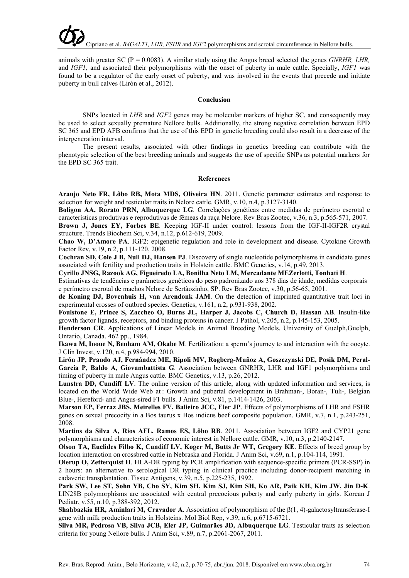animals with greater SC (P = 0.0083). A similar study using the Angus breed selected the genes *GNRHR, LHR,* and *IGF1,* and associated their polymorphisms with the onset of puberty in male cattle. Specially, *IGF1* was found to be a regulator of the early onset of puberty, and was involved in the events that precede and initiate puberty in bull calves (Lirón et al., 2012).

## **Conclusion**

SNPs located in *LHR* and *IGF2* genes may be molecular markers of higher SC, and consequently may be used to select sexually premature Nellore bulls. Additionally, the strong negative correlation between EPD SC 365 and EPD AFB confirms that the use of this EPD in genetic breeding could also result in a decrease of the intergeneration interval.

The present results, associated with other findings in genetics breeding can contribute with the phenotypic selection of the best breeding animals and suggests the use of specific SNPs as potential markers for the EPD SC 365 trait.

#### **References**

**Araujo Neto FR, Lôbo RB, Mota MDS, Oliveira HN**. 2011. Genetic parameter estimates and response to selection for weight and testicular traits in Nelore cattle. GMR, v.10, n.4, p.3127-3140.

**Boligon AA, Rorato PRN, Albuquerque LG**. Correlações genéticas entre medidas de perímetro escrotal e características produtivas e reprodutivas de fêmeas da raça Nelore. Rev Bras Zootec, v.36, n.3, p.565-571, 2007.

**Brown J, Jones EY, Forbes BE**. Keeping IGF-II under control: lessons from the IGF-II-IGF2R crystal structure. Trends Biochem Sci, v.34, n.12, p.612-619, 2009.

**Chao W, D'Amore PA**. IGF2: epigenetic regulation and role in development and disease. Cytokine Growth Factor Rev, v.19, n.2, p.111-120, 2008.

**Cochran SD, Cole J B, Null DJ, Hansen PJ**. Discovery of single nucleotide polymorphisms in candidate genes associated with fertility and production traits in Holstein cattle. BMC Genetics, v.14, p.49, 2013.

**Cyrillo JNSG, Razook AG, Figueiredo LA, Bonilha Neto LM, Mercadante MEZerlotti, Tonhati H**.

Estimativas de tendências e parâmetros genéticos do peso padronizado aos 378 dias de idade, medidas corporais e perímetro escrotal de machos Nelore de Sertãozinho, SP. Rev Bras Zootec, v.30, p.56-65, 2001.

**de Koning DJ, Bovenhuis H, van Arendonk JAM**. On the detection of imprinted quantitative trait loci in experimental crosses of outbred species. Genetics, v.161, n.2, p.931-938, 2002.

**Foulstone E, Prince S, Zaccheo O, Burns JL, Harper J, Jacobs C, Church D, Hassan AB**. Insulin-like growth factor ligands, receptors, and binding proteins in cancer. J Pathol, v.205, n.2, p.145-153, 2005.

**Henderson CR**. Applications of Linear Models in Animal Breeding Models. University of Guelph,Guelph, Ontario, Canada. 462 pp., 1984.

**Ikawa M, Inoue N, Benham AM, Okabe M**. Fertilization: a sperm's journey to and interaction with the oocyte. J Clin Invest, v.120, n.4, p.984-994, 2010.

**Lirón JP, Prando AJ, Fernández ME, Ripoli MV, Rogberg-Muñoz A, Goszczynski DE, Posik DM, Peral-García P, Baldo A, Giovambattista G**. Association between GNRHR, LHR and IGF1 polymorphisms and timing of puberty in male Angus cattle. BMC Genetics, v.13, p.26, 2012.

**Lunstra DD, Cundiff LV**. The online version of this article, along with updated information and services, is located on the World Wide Web at : Growth and pubertal development in Brahman-, Boran-, Tuli-, Belgian Blue-, Hereford- and Angus-sired F1 bulls. J Anim Sci, v.81, p.1414-1426, 2003.

**Marson EP, Ferraz JBS, Meirelles FV, Balieiro JCC, Eler JP**. Effects of polymorphisms of LHR and FSHR genes on sexual precocity in a Bos taurus x Bos indicus beef composite population. GMR, v.7, n.1, p.243-251, 2008.

**Martins da Silva A, Rios AFL, Ramos ES, Lôbo RB**. 2011. Association between IGF2 and CYP21 gene polymorphisms and characteristics of economic interest in Nellore cattle. GMR, v.10, n.3, p.2140-2147.

**Olson TA, Euclides Filho K, Cundiff LV, Koger M, Butts Jr WT, Gregory KE**. Effects of breed group by location interaction on crossbred cattle in Nebraska and Florida. J Anim Sci, v.69, n.1, p.104-114, 1991.

**Olerup O, Zetterquist H**. HLA-DR typing by PCR amplification with sequence-specific primers (PCR-SSP) in 2 hours: an alternative to serological DR typing in clinical practice including donor-recipient matching in cadaveric transplantation. Tissue Antigens, v.39, n.5, p.225-235, 1992.

Park SW, Lee ST, Sohn YB, Cho SY, Kim SH, Kim SJ, Kim SH, Ko AR, Paik KH, Kim JW, Jin D-K. LIN28B polymorphisms are associated with central precocious puberty and early puberty in girls. Korean J Pediatr, v.55, n.10, p.388-392, 2012.

**Shahbazkia HR, Aminlari M, Cravador A**. Association of polymorphism of the β(1, 4)-galactosyltransferase-I gene with milk production traits in Holsteins. Mol Biol Rep, v.39, n.6, p.6715-6721.

**Silva MR, Pedrosa VB, Silva JCB, Eler JP, Guimarães JD, Albuquerque LG**. Testicular traits as selection criteria for young Nellore bulls. J Anim Sci, v.89, n.7, p.2061-2067, 2011.